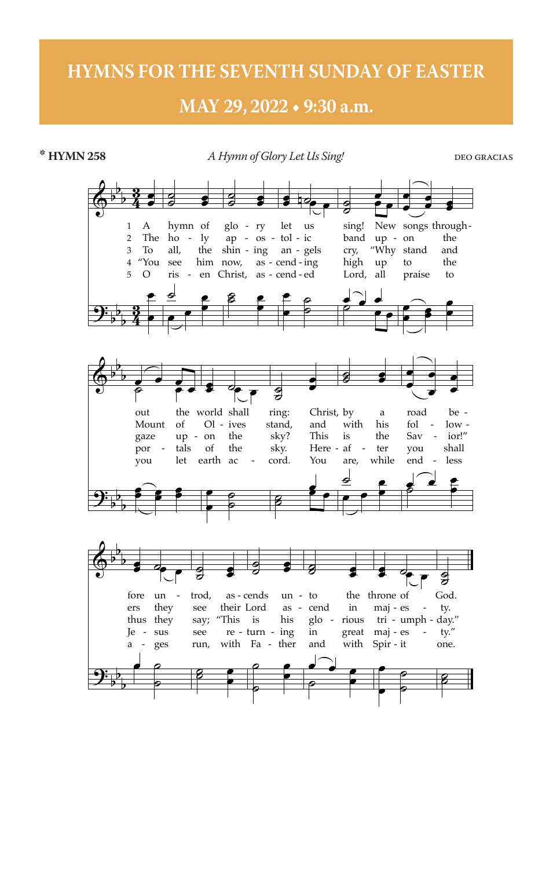## **HYMNS FOR THE SEVENTH SUNDAY OF EASTER**

## MAY 29, 2022 . 9:30 a.m.



\* HYMN 258

**DEO GRACIAS**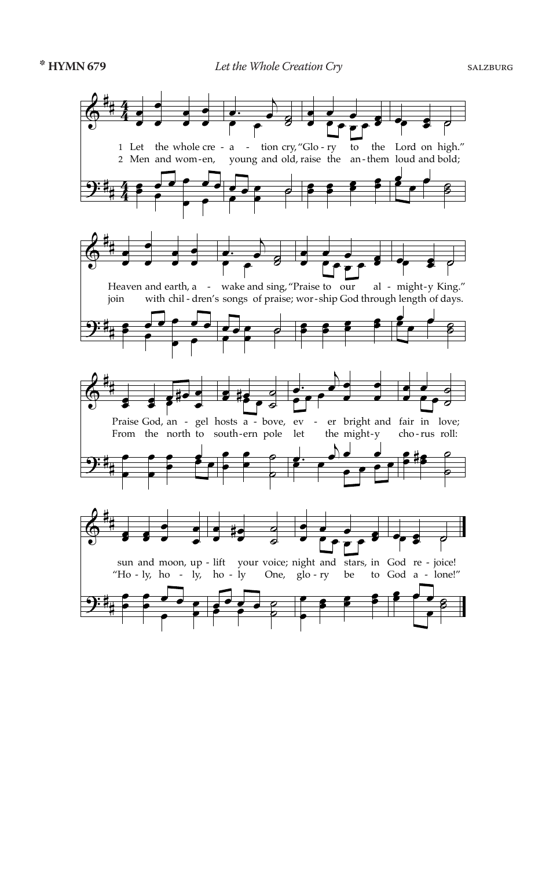